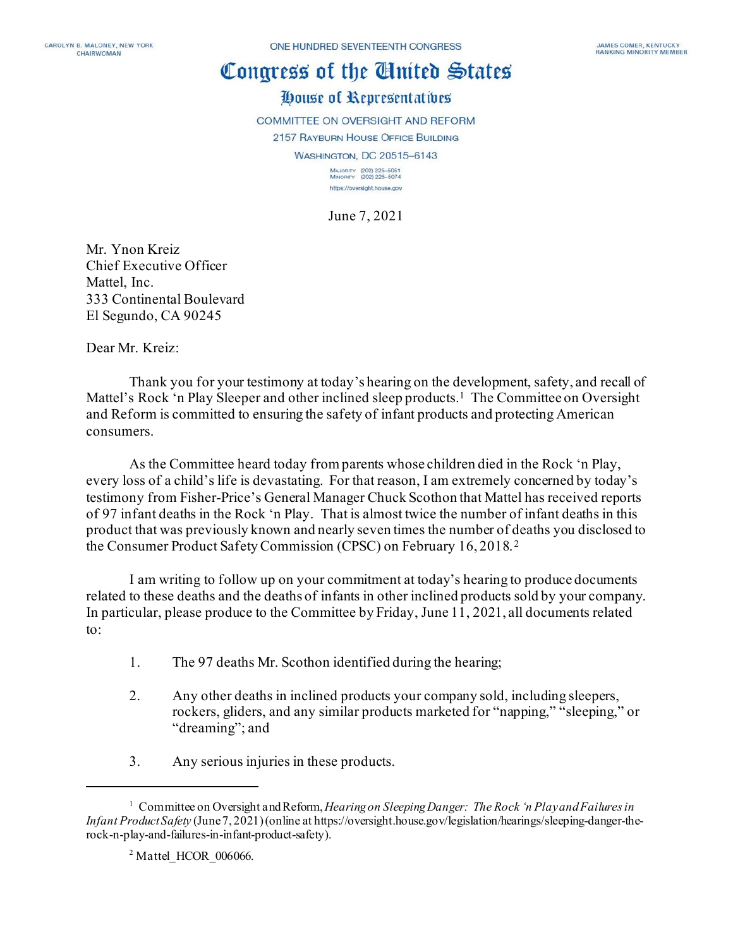## Congress of the Ginited States House of Representatives

COMMITTEE ON OVERSIGHT AND REFORM 2157 RAYBURN HOUSE OFFICE BUILDING **WASHINGTON, DC 20515-6143** MAJORITY (202) 225-5051<br>MINORITY (202) 225-5074

> https://oversight.house.gov June 7, 2021

Mr. Ynon Kreiz Chief Executive Officer Mattel, Inc. 333 Continental Boulevard El Segundo, CA 90245

Dear Mr. Kreiz:

Thank you for your testimony at today's hearing on the development, safety, and recall of Mattel's Rock 'n Play Sleeper and other inclined sleep products.<sup>[1](#page-0-0)</sup> The Committee on Oversight and Reform is committed to ensuring the safety of infant products and protecting American consumers.

As the Committee heard today from parents whose children died in the Rock 'n Play, every loss of a child's life is devastating. For that reason, I am extremely concerned by today's testimony from Fisher-Price's General Manager Chuck Scothon that Mattel has received reports of 97 infant deaths in the Rock 'n Play. That is almost twice the number of infant deaths in this product that was previously known and nearly seven times the number of deaths you disclosed to the Consumer Product Safety Commission (CPSC) on February 16, 2018. [2](#page-0-1)

I am writing to follow up on your commitment at today's hearing to produce documents related to these deaths and the deaths of infants in other inclined products sold by your company. In particular, please produce to the Committee by Friday, June 11, 2021, all documents related to:

- 1. The 97 deaths Mr. Scothon identified during the hearing;
- 2. Any other deaths in inclined products your company sold, including sleepers, rockers, gliders, and any similar products marketed for "napping," "sleeping," or "dreaming"; and
- 3. Any serious injuries in these products.

<span id="page-0-1"></span><span id="page-0-0"></span><sup>1</sup> Committee on Oversight and Reform, *Hearingon Sleeping Danger: The Rock 'n Play and Failures in Infant Product Safety* (June7, 2021)(online at https://oversight.house.gov/legislation/hearings/sleeping-danger-therock-n-play-and-failures-in-infant-product-safety).

 $2$  Mattel HCOR 006066.